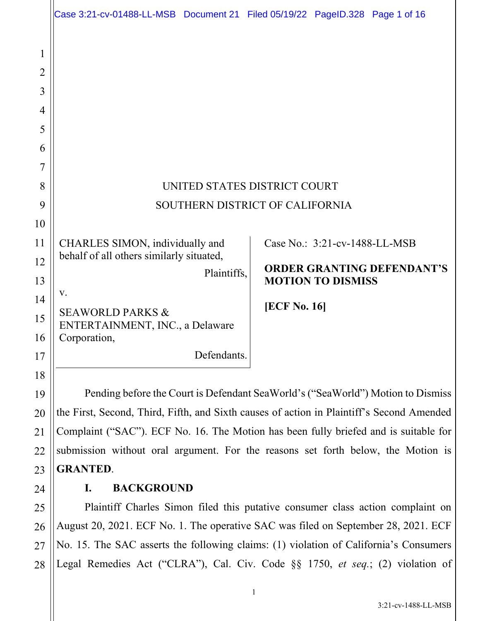|                                                   | Case 3:21-cv-01488-LL-MSB Document 21 Filed 05/19/22 PageID.328 Page 1 of 16              |                     |                               |                                   |  |
|---------------------------------------------------|-------------------------------------------------------------------------------------------|---------------------|-------------------------------|-----------------------------------|--|
| 1<br>2<br>3<br>$\overline{4}$<br>5<br>6<br>7<br>8 | UNITED STATES DISTRICT COURT                                                              |                     |                               |                                   |  |
| 9                                                 | SOUTHERN DISTRICT OF CALIFORNIA                                                           |                     |                               |                                   |  |
| 10                                                |                                                                                           |                     |                               |                                   |  |
| 11                                                | CHARLES SIMON, individually and<br>behalf of all others similarly situated,               |                     | Case No.: 3:21-cv-1488-LL-MSB |                                   |  |
| 12<br>13                                          | Plaintiffs,                                                                               |                     | <b>MOTION TO DISMISS</b>      | <b>ORDER GRANTING DEFENDANT'S</b> |  |
| 14                                                | V.                                                                                        | <b>[ECF No. 16]</b> |                               |                                   |  |
| 15<br>16                                          | <b>SEAWORLD PARKS &amp;</b><br>ENTERTAINMENT, INC., a Delaware<br>Corporation,            |                     |                               |                                   |  |
| 17                                                | Defendants.                                                                               |                     |                               |                                   |  |
| 18                                                |                                                                                           |                     |                               |                                   |  |
| 19                                                | Pending before the Court is Defendant SeaWorld's ("SeaWorld") Motion to Dismiss           |                     |                               |                                   |  |
| 20                                                | the First, Second, Third, Fifth, and Sixth causes of action in Plaintiff's Second Amended |                     |                               |                                   |  |
| 21                                                | Complaint ("SAC"). ECF No. 16. The Motion has been fully briefed and is suitable for      |                     |                               |                                   |  |
| 22                                                | submission without oral argument. For the reasons set forth below, the Motion is          |                     |                               |                                   |  |
| 23                                                | <b>GRANTED.</b>                                                                           |                     |                               |                                   |  |
| 24                                                | <b>BACKGROUND</b><br>I.                                                                   |                     |                               |                                   |  |
| 25                                                | Plaintiff Charles Simon filed this putative consumer class action complaint on            |                     |                               |                                   |  |
| 26                                                | August 20, 2021. ECF No. 1. The operative SAC was filed on September 28, 2021. ECF        |                     |                               |                                   |  |

27 28 No. 15. The SAC asserts the following claims: (1) violation of California's Consumers Legal Remedies Act ("CLRA"), Cal. Civ. Code §§ 1750, *et seq.*; (2) violation of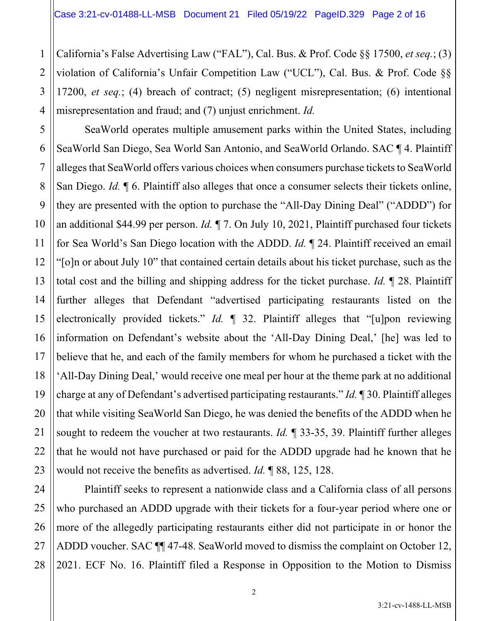2

3

4

11

California's False Advertising Law ("FAL"), Cal. Bus. & Prof. Code §§ 17500, *et seq.*; (3) violation of California's Unfair Competition Law ("UCL"), Cal. Bus. & Prof. Code §§ 17200, *et seq.*; (4) breach of contract; (5) negligent misrepresentation; (6) intentional misrepresentation and fraud; and (7) unjust enrichment. *Id.*

5 6 7 8 9 10 12 13 14 15 16 17 18 19 20 21 22 23 SeaWorld operates multiple amusement parks within the United States, including SeaWorld San Diego, Sea World San Antonio, and SeaWorld Orlando. SAC ¶ 4. Plaintiff alleges that SeaWorld offers various choices when consumers purchase tickets to SeaWorld San Diego. *Id.* ¶ 6. Plaintiff also alleges that once a consumer selects their tickets online, they are presented with the option to purchase the "All-Day Dining Deal" ("ADDD") for an additional \$44.99 per person. *Id.* ¶ 7. On July 10, 2021, Plaintiff purchased four tickets for Sea World's San Diego location with the ADDD. *Id.* ¶ 24. Plaintiff received an email "[o]n or about July 10" that contained certain details about his ticket purchase, such as the total cost and the billing and shipping address for the ticket purchase. *Id.* ¶ 28. Plaintiff further alleges that Defendant "advertised participating restaurants listed on the electronically provided tickets." *Id.* ¶ 32. Plaintiff alleges that "[u]pon reviewing information on Defendant's website about the 'All-Day Dining Deal,' [he] was led to believe that he, and each of the family members for whom he purchased a ticket with the 'All-Day Dining Deal,' would receive one meal per hour at the theme park at no additional charge at any of Defendant's advertised participating restaurants." *Id.* ¶ 30. Plaintiff alleges that while visiting SeaWorld San Diego, he was denied the benefits of the ADDD when he sought to redeem the voucher at two restaurants. *Id.* ¶ 33-35, 39. Plaintiff further alleges that he would not have purchased or paid for the ADDD upgrade had he known that he would not receive the benefits as advertised. *Id.* ¶ 88, 125, 128.

24 25 26 27 28 Plaintiff seeks to represent a nationwide class and a California class of all persons who purchased an ADDD upgrade with their tickets for a four-year period where one or more of the allegedly participating restaurants either did not participate in or honor the ADDD voucher. SAC ¶¶ 47-48. SeaWorld moved to dismiss the complaint on October 12, 2021. ECF No. 16. Plaintiff filed a Response in Opposition to the Motion to Dismiss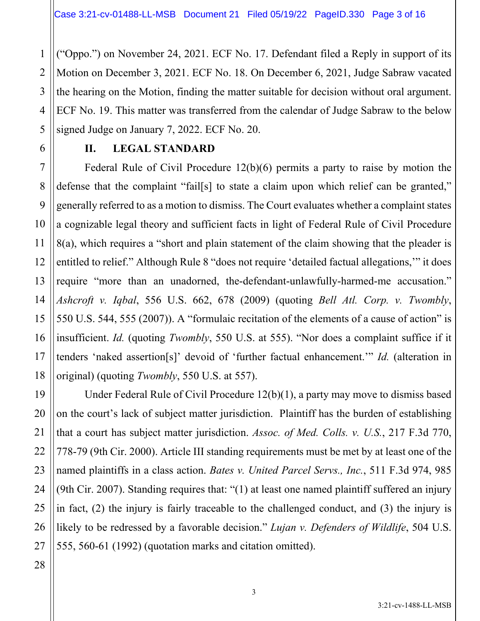("Oppo.") on November 24, 2021. ECF No. 17. Defendant filed a Reply in support of its Motion on December 3, 2021. ECF No. 18. On December 6, 2021, Judge Sabraw vacated the hearing on the Motion, finding the matter suitable for decision without oral argument. ECF No. 19. This matter was transferred from the calendar of Judge Sabraw to the below signed Judge on January 7, 2022. ECF No. 20.

#### **II. LEGAL STANDARD**

Federal Rule of Civil Procedure 12(b)(6) permits a party to raise by motion the defense that the complaint "fail[s] to state a claim upon which relief can be granted," generally referred to as a motion to dismiss. The Court evaluates whether a complaint states a cognizable legal theory and sufficient facts in light of Federal Rule of Civil Procedure 8(a), which requires a "short and plain statement of the claim showing that the pleader is entitled to relief." Although Rule 8 "does not require 'detailed factual allegations,'" it does require "more than an unadorned, the-defendant-unlawfully-harmed-me accusation." *Ashcroft v. Iqbal*, 556 U.S. 662, 678 (2009) (quoting *Bell Atl. Corp. v. Twombly*, 550 U.S. 544, 555 (2007)). A "formulaic recitation of the elements of a cause of action" is insufficient. *Id.* (quoting *Twombly*, 550 U.S. at 555). "Nor does a complaint suffice if it tenders 'naked assertion[s]' devoid of 'further factual enhancement.'" *Id.* (alteration in original) (quoting *Twombly*, 550 U.S. at 557).

Under Federal Rule of Civil Procedure 12(b)(1), a party may move to dismiss based on the court's lack of subject matter jurisdiction. Plaintiff has the burden of establishing that a court has subject matter jurisdiction. *Assoc. of Med. Colls. v. U.S.*, 217 F.3d 770, 778-79 (9th Cir. 2000). Article III standing requirements must be met by at least one of the named plaintiffs in a class action. *Bates v. United Parcel Servs., Inc.*, 511 F.3d 974, 985 (9th Cir. 2007). Standing requires that: "(1) at least one named plaintiff suffered an injury in fact, (2) the injury is fairly traceable to the challenged conduct, and (3) the injury is likely to be redressed by a favorable decision." *Lujan v. Defenders of Wildlife*, 504 U.S. 555, 560-61 (1992) (quotation marks and citation omitted).

1

2

3

4

5

6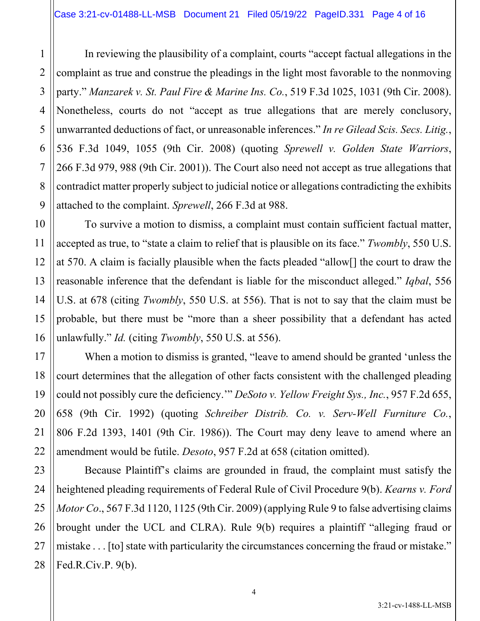In reviewing the plausibility of a complaint, courts "accept factual allegations in the complaint as true and construe the pleadings in the light most favorable to the nonmoving party." *Manzarek v. St. Paul Fire & Marine Ins. Co.*, 519 F.3d 1025, 1031 (9th Cir. 2008). Nonetheless, courts do not "accept as true allegations that are merely conclusory, unwarranted deductions of fact, or unreasonable inferences." *In re Gilead Scis. Secs. Litig.*, 536 F.3d 1049, 1055 (9th Cir. 2008) (quoting *Sprewell v. Golden State Warriors*, 266 F.3d 979, 988 (9th Cir. 2001)). The Court also need not accept as true allegations that contradict matter properly subject to judicial notice or allegations contradicting the exhibits attached to the complaint. *Sprewell*, 266 F.3d at 988.

To survive a motion to dismiss, a complaint must contain sufficient factual matter, accepted as true, to "state a claim to relief that is plausible on its face." *Twombly*, 550 U.S. at 570. A claim is facially plausible when the facts pleaded "allow[] the court to draw the reasonable inference that the defendant is liable for the misconduct alleged." *Iqbal*, 556 U.S. at 678 (citing *Twombly*, 550 U.S. at 556). That is not to say that the claim must be probable, but there must be "more than a sheer possibility that a defendant has acted unlawfully." *Id.* (citing *Twombly*, 550 U.S. at 556).

When a motion to dismiss is granted, "leave to amend should be granted 'unless the court determines that the allegation of other facts consistent with the challenged pleading could not possibly cure the deficiency.'" *DeSoto v. Yellow Freight Sys., Inc.*, 957 F.2d 655, 658 (9th Cir. 1992) (quoting *Schreiber Distrib. Co. v. Serv-Well Furniture Co.*, 806 F.2d 1393, 1401 (9th Cir. 1986)). The Court may deny leave to amend where an amendment would be futile. *Desoto*, 957 F.2d at 658 (citation omitted).

Because Plaintiff's claims are grounded in fraud, the complaint must satisfy the heightened pleading requirements of Federal Rule of Civil Procedure 9(b). *Kearns v. Ford Motor Co*., 567 F.3d 1120, 1125 (9th Cir. 2009) (applying Rule 9 to false advertising claims brought under the UCL and CLRA). Rule 9(b) requires a plaintiff "alleging fraud or mistake . . . [to] state with particularity the circumstances concerning the fraud or mistake." Fed.R.Civ.P. 9(b).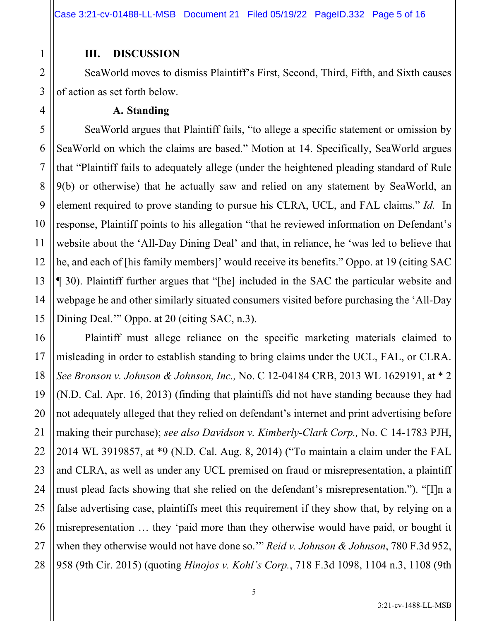## **III. DISCUSSION**

SeaWorld moves to dismiss Plaintiff's First, Second, Third, Fifth, and Sixth causes of action as set forth below.

#### **A. Standing**

SeaWorld argues that Plaintiff fails, "to allege a specific statement or omission by SeaWorld on which the claims are based." Motion at 14. Specifically, SeaWorld argues that "Plaintiff fails to adequately allege (under the heightened pleading standard of Rule 9(b) or otherwise) that he actually saw and relied on any statement by SeaWorld, an element required to prove standing to pursue his CLRA, UCL, and FAL claims." *Id.* In response, Plaintiff points to his allegation "that he reviewed information on Defendant's website about the 'All-Day Dining Deal' and that, in reliance, he 'was led to believe that he, and each of [his family members]' would receive its benefits." Oppo. at 19 (citing SAC ¶ 30). Plaintiff further argues that "[he] included in the SAC the particular website and webpage he and other similarly situated consumers visited before purchasing the 'All-Day Dining Deal." Oppo. at 20 (citing SAC, n.3).

Plaintiff must allege reliance on the specific marketing materials claimed to misleading in order to establish standing to bring claims under the UCL, FAL, or CLRA. *See Bronson v. Johnson & Johnson, Inc.,* No. C 12-04184 CRB, 2013 WL 1629191, at \* 2 (N.D. Cal. Apr. 16, 2013) (finding that plaintiffs did not have standing because they had not adequately alleged that they relied on defendant's internet and print advertising before making their purchase); *see also Davidson v. Kimberly-Clark Corp.,* No. C 14-1783 PJH, 2014 WL 3919857, at \*9 (N.D. Cal. Aug. 8, 2014) ("To maintain a claim under the FAL and CLRA, as well as under any UCL premised on fraud or misrepresentation, a plaintiff must plead facts showing that she relied on the defendant's misrepresentation."). "[I]n a false advertising case, plaintiffs meet this requirement if they show that, by relying on a misrepresentation … they 'paid more than they otherwise would have paid, or bought it when they otherwise would not have done so.'" *Reid v. Johnson & Johnson*, 780 F.3d 952, 958 (9th Cir. 2015) (quoting *Hinojos v. Kohl's Corp.*, 718 F.3d 1098, 1104 n.3, 1108 (9th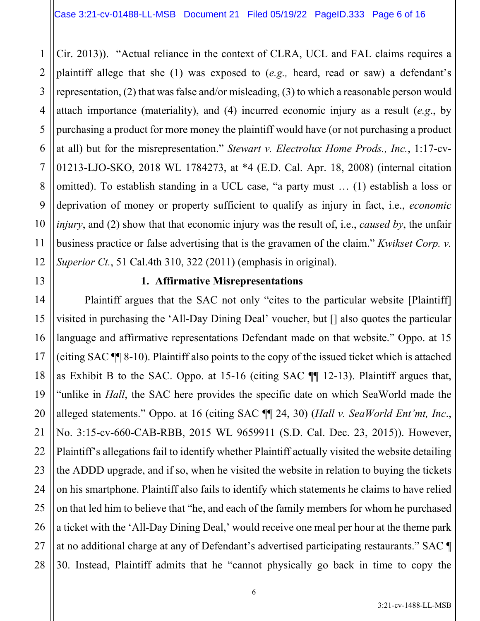1 2 3 4 5 6 7 8 9 10 12 Cir. 2013)). "Actual reliance in the context of CLRA, UCL and FAL claims requires a plaintiff allege that she (1) was exposed to (*e.g.,* heard, read or saw) a defendant's representation, (2) that was false and/or misleading, (3) to which a reasonable person would attach importance (materiality), and (4) incurred economic injury as a result (*e.g*., by purchasing a product for more money the plaintiff would have (or not purchasing a product at all) but for the misrepresentation." *Stewart v. Electrolux Home Prods., Inc.*, 1:17-cv-01213-LJO-SKO, 2018 WL 1784273, at \*4 (E.D. Cal. Apr. 18, 2008) (internal citation omitted). To establish standing in a UCL case, "a party must … (1) establish a loss or deprivation of money or property sufficient to qualify as injury in fact, i.e., *economic injury*, and (2) show that that economic injury was the result of, i.e., *caused by*, the unfair business practice or false advertising that is the gravamen of the claim." *Kwikset Corp. v. Superior Ct.*, 51 Cal.4th 310, 322 (2011) (emphasis in original).

#### **1. Affirmative Misrepresentations**

11

13

15

17

18

19

21

22

23

25

26

27

14 16 20 24 28 Plaintiff argues that the SAC not only "cites to the particular website [Plaintiff] visited in purchasing the 'All-Day Dining Deal' voucher, but [] also quotes the particular language and affirmative representations Defendant made on that website." Oppo. at 15 (citing SAC ¶¶ 8-10). Plaintiff also points to the copy of the issued ticket which is attached as Exhibit B to the SAC. Oppo. at 15-16 (citing SAC ¶¶ 12-13). Plaintiff argues that, "unlike in *Hall*, the SAC here provides the specific date on which SeaWorld made the alleged statements." Oppo. at 16 (citing SAC ¶¶ 24, 30) (*Hall v. SeaWorld Ent'mt, Inc*., No. 3:15-cv-660-CAB-RBB, 2015 WL 9659911 (S.D. Cal. Dec. 23, 2015)). However, Plaintiff's allegations fail to identify whether Plaintiff actually visited the website detailing the ADDD upgrade, and if so, when he visited the website in relation to buying the tickets on his smartphone. Plaintiff also fails to identify which statements he claims to have relied on that led him to believe that "he, and each of the family members for whom he purchased a ticket with the 'All-Day Dining Deal,' would receive one meal per hour at the theme park at no additional charge at any of Defendant's advertised participating restaurants." SAC ¶ 30. Instead, Plaintiff admits that he "cannot physically go back in time to copy the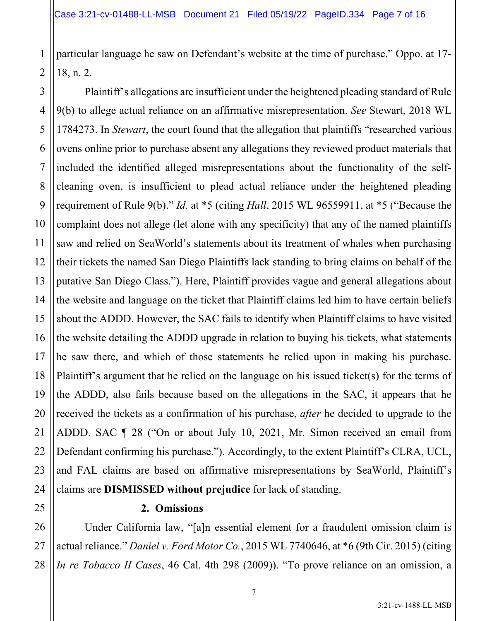2

7

11

21

25

particular language he saw on Defendant's website at the time of purchase." Oppo. at 17- 18, n. 2.

3 4 5 6 8 9 10 12 13 14 15 16 17 18 19 20 22 23 24 Plaintiff's allegations are insufficient under the heightened pleading standard of Rule 9(b) to allege actual reliance on an affirmative misrepresentation. *See* Stewart, 2018 WL 1784273. In *Stewart*, the court found that the allegation that plaintiffs "researched various ovens online prior to purchase absent any allegations they reviewed product materials that included the identified alleged misrepresentations about the functionality of the selfcleaning oven, is insufficient to plead actual reliance under the heightened pleading requirement of Rule 9(b)." *Id.* at \*5 (citing *Hall*, 2015 WL 96559911, at \*5 ("Because the complaint does not allege (let alone with any specificity) that any of the named plaintiffs saw and relied on SeaWorld's statements about its treatment of whales when purchasing their tickets the named San Diego Plaintiffs lack standing to bring claims on behalf of the putative San Diego Class."). Here, Plaintiff provides vague and general allegations about the website and language on the ticket that Plaintiff claims led him to have certain beliefs about the ADDD. However, the SAC fails to identify when Plaintiff claims to have visited the website detailing the ADDD upgrade in relation to buying his tickets, what statements he saw there, and which of those statements he relied upon in making his purchase. Plaintiff's argument that he relied on the language on his issued ticket(s) for the terms of the ADDD, also fails because based on the allegations in the SAC, it appears that he received the tickets as a confirmation of his purchase, *after* he decided to upgrade to the ADDD. SAC ¶ 28 ("On or about July 10, 2021, Mr. Simon received an email from Defendant confirming his purchase."). Accordingly, to the extent Plaintiff's CLRA, UCL, and FAL claims are based on affirmative misrepresentations by SeaWorld, Plaintiff's claims are **DISMISSED without prejudice** for lack of standing.

#### **2. Omissions**

26 27 28 Under California law, "[a]n essential element for a fraudulent omission claim is actual reliance." *Daniel v. Ford Motor Co.*, 2015 WL 7740646, at \*6 (9th Cir. 2015) (citing *In re Tobacco II Cases*, 46 Cal. 4th 298 (2009)). "To prove reliance on an omission, a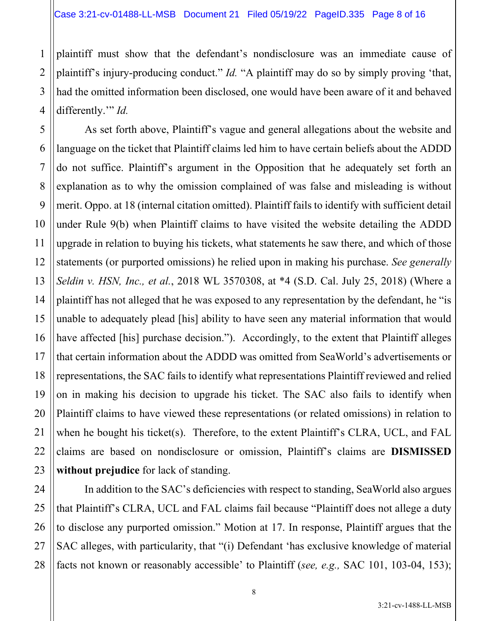2

3

4

5

6

7

8

9

10

11

12

13

14

15

17

18

19

20

21

22

23

plaintiff must show that the defendant's nondisclosure was an immediate cause of plaintiff's injury-producing conduct." *Id.* "A plaintiff may do so by simply proving 'that, had the omitted information been disclosed, one would have been aware of it and behaved differently.'" *Id.*

16 As set forth above, Plaintiff's vague and general allegations about the website and language on the ticket that Plaintiff claims led him to have certain beliefs about the ADDD do not suffice. Plaintiff's argument in the Opposition that he adequately set forth an explanation as to why the omission complained of was false and misleading is without merit. Oppo. at 18 (internal citation omitted). Plaintiff fails to identify with sufficient detail under Rule 9(b) when Plaintiff claims to have visited the website detailing the ADDD upgrade in relation to buying his tickets, what statements he saw there, and which of those statements (or purported omissions) he relied upon in making his purchase. *See generally Seldin v. HSN, Inc., et al.*, 2018 WL 3570308, at \*4 (S.D. Cal. July 25, 2018) (Where a plaintiff has not alleged that he was exposed to any representation by the defendant, he "is unable to adequately plead [his] ability to have seen any material information that would have affected [his] purchase decision."). Accordingly, to the extent that Plaintiff alleges that certain information about the ADDD was omitted from SeaWorld's advertisements or representations, the SAC fails to identify what representations Plaintiff reviewed and relied on in making his decision to upgrade his ticket. The SAC also fails to identify when Plaintiff claims to have viewed these representations (or related omissions) in relation to when he bought his ticket(s). Therefore, to the extent Plaintiff's CLRA, UCL, and FAL claims are based on nondisclosure or omission, Plaintiff's claims are **DISMISSED without prejudice** for lack of standing.

24 25 26 27 28 In addition to the SAC's deficiencies with respect to standing, SeaWorld also argues that Plaintiff's CLRA, UCL and FAL claims fail because "Plaintiff does not allege a duty to disclose any purported omission." Motion at 17. In response, Plaintiff argues that the SAC alleges, with particularity, that "(i) Defendant 'has exclusive knowledge of material facts not known or reasonably accessible' to Plaintiff (*see, e.g.,* SAC 101, 103-04, 153);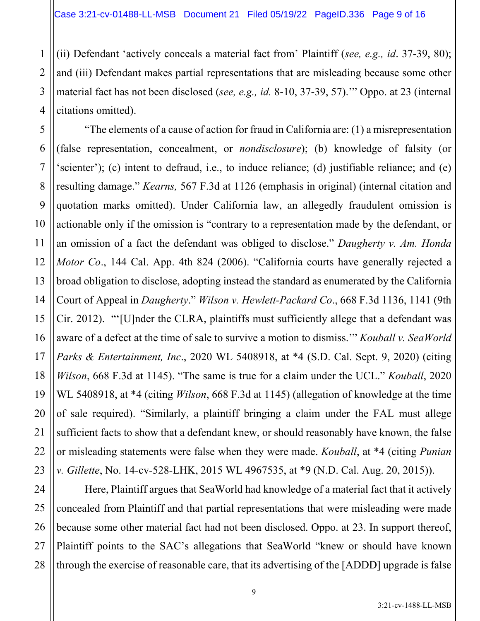2

3

4

(ii) Defendant 'actively conceals a material fact from' Plaintiff (*see, e.g., id*. 37-39, 80); and (iii) Defendant makes partial representations that are misleading because some other material fact has not been disclosed (*see, e.g., id.* 8-10, 37-39, 57).'" Oppo. at 23 (internal citations omitted).

5 6 7 8 9 10 11 12 13 14 15 16 17 18 19 20 21 22 23 "The elements of a cause of action for fraud in California are: (1) a misrepresentation (false representation, concealment, or *nondisclosure*); (b) knowledge of falsity (or 'scienter'); (c) intent to defraud, i.e., to induce reliance; (d) justifiable reliance; and (e) resulting damage." *Kearns,* 567 F.3d at 1126 (emphasis in original) (internal citation and quotation marks omitted). Under California law, an allegedly fraudulent omission is actionable only if the omission is "contrary to a representation made by the defendant, or an omission of a fact the defendant was obliged to disclose." *Daugherty v. Am. Honda Motor Co*., 144 Cal. App. 4th 824 (2006). "California courts have generally rejected a broad obligation to disclose, adopting instead the standard as enumerated by the California Court of Appeal in *Daugherty*." *Wilson v. Hewlett-Packard Co*., 668 F.3d 1136, 1141 (9th Cir. 2012). "'[U]nder the CLRA, plaintiffs must sufficiently allege that a defendant was aware of a defect at the time of sale to survive a motion to dismiss.'" *Kouball v. SeaWorld Parks & Entertainment, Inc*., 2020 WL 5408918, at \*4 (S.D. Cal. Sept. 9, 2020) (citing *Wilson*, 668 F.3d at 1145). "The same is true for a claim under the UCL." *Kouball*, 2020 WL 5408918, at \*4 (citing *Wilson*, 668 F.3d at 1145) (allegation of knowledge at the time of sale required). "Similarly, a plaintiff bringing a claim under the FAL must allege sufficient facts to show that a defendant knew, or should reasonably have known, the false or misleading statements were false when they were made. *Kouball*, at \*4 (citing *Punian v. Gillette*, No. 14-cv-528-LHK, 2015 WL 4967535, at \*9 (N.D. Cal. Aug. 20, 2015)).

24 25 26 27 28 Here, Plaintiff argues that SeaWorld had knowledge of a material fact that it actively concealed from Plaintiff and that partial representations that were misleading were made because some other material fact had not been disclosed. Oppo. at 23. In support thereof, Plaintiff points to the SAC's allegations that SeaWorld "knew or should have known through the exercise of reasonable care, that its advertising of the [ADDD] upgrade is false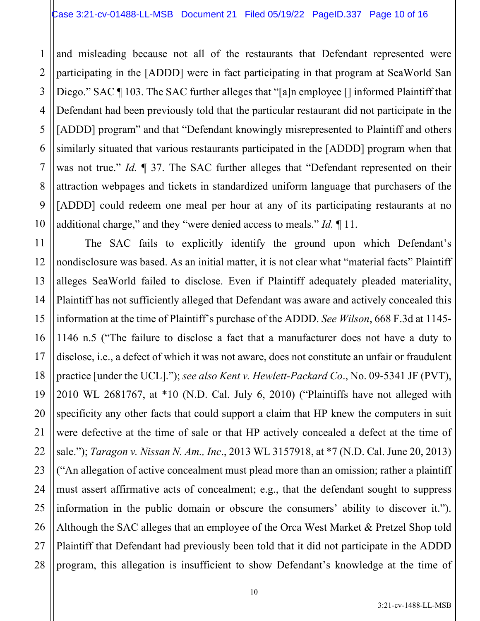1 2 3 4 5 6 and misleading because not all of the restaurants that Defendant represented were participating in the [ADDD] were in fact participating in that program at SeaWorld San Diego." SAC ¶ 103. The SAC further alleges that "[a]n employee [] informed Plaintiff that Defendant had been previously told that the particular restaurant did not participate in the [ADDD] program" and that "Defendant knowingly misrepresented to Plaintiff and others similarly situated that various restaurants participated in the [ADDD] program when that was not true." *Id.*  $\parallel$  37. The SAC further alleges that "Defendant represented on their attraction webpages and tickets in standardized uniform language that purchasers of the [ADDD] could redeem one meal per hour at any of its participating restaurants at no additional charge," and they "were denied access to meals." *Id.* ¶ 11.

The SAC fails to explicitly identify the ground upon which Defendant's nondisclosure was based. As an initial matter, it is not clear what "material facts" Plaintiff alleges SeaWorld failed to disclose. Even if Plaintiff adequately pleaded materiality, Plaintiff has not sufficiently alleged that Defendant was aware and actively concealed this information at the time of Plaintiff's purchase of the ADDD. *See Wilson*, 668 F.3d at 1145- 1146 n.5 ("The failure to disclose a fact that a manufacturer does not have a duty to disclose, i.e., a defect of which it was not aware, does not constitute an unfair or fraudulent practice [under the UCL]."); *see also Kent v. Hewlett-Packard Co*., No. 09-5341 JF (PVT), 2010 WL 2681767, at \*10 (N.D. Cal. July 6, 2010) ("Plaintiffs have not alleged with specificity any other facts that could support a claim that HP knew the computers in suit were defective at the time of sale or that HP actively concealed a defect at the time of sale."); *Taragon v. Nissan N. Am., Inc*., 2013 WL 3157918, at \*7 (N.D. Cal. June 20, 2013) ("An allegation of active concealment must plead more than an omission; rather a plaintiff must assert affirmative acts of concealment; e.g., that the defendant sought to suppress information in the public domain or obscure the consumers' ability to discover it."). Although the SAC alleges that an employee of the Orca West Market & Pretzel Shop told Plaintiff that Defendant had previously been told that it did not participate in the ADDD program, this allegation is insufficient to show Defendant's knowledge at the time of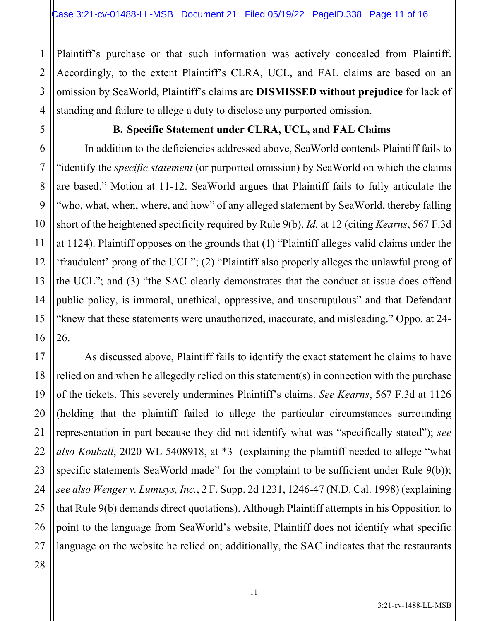Plaintiff's purchase or that such information was actively concealed from Plaintiff. Accordingly, to the extent Plaintiff's CLRA, UCL, and FAL claims are based on an omission by SeaWorld, Plaintiff's claims are **DISMISSED without prejudice** for lack of standing and failure to allege a duty to disclose any purported omission.

1

2

## **B. Specific Statement under CLRA, UCL, and FAL Claims**

In addition to the deficiencies addressed above, SeaWorld contends Plaintiff fails to "identify the *specific statement* (or purported omission) by SeaWorld on which the claims are based." Motion at 11-12. SeaWorld argues that Plaintiff fails to fully articulate the "who, what, when, where, and how" of any alleged statement by SeaWorld, thereby falling short of the heightened specificity required by Rule 9(b). *Id.* at 12 (citing *Kearns*, 567 F.3d at 1124). Plaintiff opposes on the grounds that (1) "Plaintiff alleges valid claims under the 'fraudulent' prong of the UCL"; (2) "Plaintiff also properly alleges the unlawful prong of the UCL"; and (3) "the SAC clearly demonstrates that the conduct at issue does offend public policy, is immoral, unethical, oppressive, and unscrupulous" and that Defendant "knew that these statements were unauthorized, inaccurate, and misleading." Oppo. at 24- 26.

As discussed above, Plaintiff fails to identify the exact statement he claims to have relied on and when he allegedly relied on this statement(s) in connection with the purchase of the tickets. This severely undermines Plaintiff's claims. *See Kearns*, 567 F.3d at 1126 (holding that the plaintiff failed to allege the particular circumstances surrounding representation in part because they did not identify what was "specifically stated"); *see also Kouball*, 2020 WL 5408918, at \*3 (explaining the plaintiff needed to allege "what specific statements SeaWorld made" for the complaint to be sufficient under Rule 9(b)); *see also Wenger v. Lumisys, Inc.*, 2 F. Supp. 2d 1231, 1246-47 (N.D. Cal. 1998) (explaining that Rule 9(b) demands direct quotations). Although Plaintiff attempts in his Opposition to point to the language from SeaWorld's website, Plaintiff does not identify what specific language on the website he relied on; additionally, the SAC indicates that the restaurants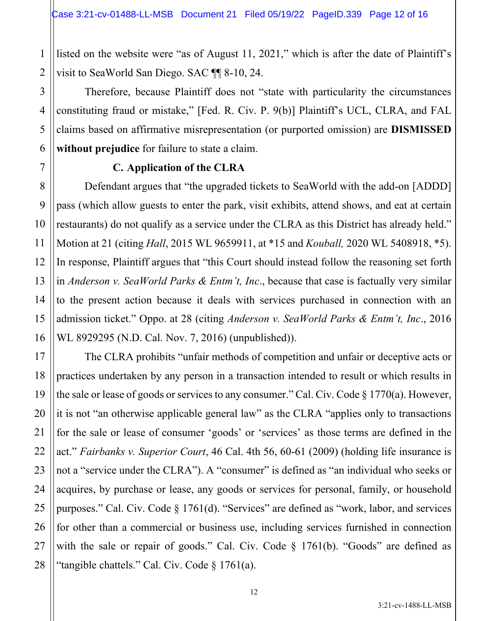listed on the website were "as of August 11, 2021," which is after the date of Plaintiff's visit to SeaWorld San Diego. SAC ¶¶ 8-10, 24.

Therefore, because Plaintiff does not "state with particularity the circumstances constituting fraud or mistake," [Fed. R. Civ. P. 9(b)] Plaintiff's UCL, CLRA, and FAL claims based on affirmative misrepresentation (or purported omission) are **DISMISSED without prejudice** for failure to state a claim.

### **C. Application of the CLRA**

Defendant argues that "the upgraded tickets to SeaWorld with the add-on [ADDD] pass (which allow guests to enter the park, visit exhibits, attend shows, and eat at certain restaurants) do not qualify as a service under the CLRA as this District has already held." Motion at 21 (citing *Hall*, 2015 WL 9659911, at \*15 and *Kouball,* 2020 WL 5408918, \*5). In response, Plaintiff argues that "this Court should instead follow the reasoning set forth in *Anderson v. SeaWorld Parks & Entm't, Inc*., because that case is factually very similar to the present action because it deals with services purchased in connection with an admission ticket." Oppo. at 28 (citing *Anderson v. SeaWorld Parks & Entm't, Inc*., 2016 WL 8929295 (N.D. Cal. Nov. 7, 2016) (unpublished)).

The CLRA prohibits "unfair methods of competition and unfair or deceptive acts or practices undertaken by any person in a transaction intended to result or which results in the sale or lease of goods or services to any consumer." Cal. Civ. Code § 1770(a). However, it is not "an otherwise applicable general law" as the CLRA "applies only to transactions for the sale or lease of consumer 'goods' or 'services' as those terms are defined in the act." *Fairbanks v. Superior Court*, 46 Cal. 4th 56, 60-61 (2009) (holding life insurance is not a "service under the CLRA"). A "consumer" is defined as "an individual who seeks or acquires, by purchase or lease, any goods or services for personal, family, or household purposes." Cal. Civ. Code § 1761(d). "Services" are defined as "work, labor, and services for other than a commercial or business use, including services furnished in connection with the sale or repair of goods." Cal. Civ. Code § 1761(b). "Goods" are defined as "tangible chattels." Cal. Civ. Code § 1761(a).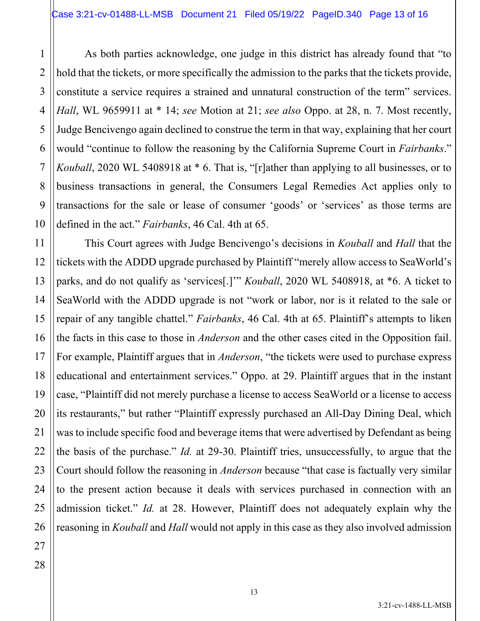As both parties acknowledge, one judge in this district has already found that "to hold that the tickets, or more specifically the admission to the parks that the tickets provide, constitute a service requires a strained and unnatural construction of the term" services. *Hall*, WL 9659911 at \* 14; *see* Motion at 21; *see also* Oppo. at 28, n. 7. Most recently, Judge Bencivengo again declined to construe the term in that way, explaining that her court would "continue to follow the reasoning by the California Supreme Court in *Fairbanks*." *Kouball*, 2020 WL 5408918 at \* 6. That is, "[r]ather than applying to all businesses, or to business transactions in general, the Consumers Legal Remedies Act applies only to transactions for the sale or lease of consumer 'goods' or 'services' as those terms are defined in the act." *Fairbanks*, 46 Cal. 4th at 65.

This Court agrees with Judge Bencivengo's decisions in *Kouball* and *Hall* that the tickets with the ADDD upgrade purchased by Plaintiff "merely allow access to SeaWorld's parks, and do not qualify as 'services[.]'" *Kouball*, 2020 WL 5408918, at \*6. A ticket to SeaWorld with the ADDD upgrade is not "work or labor, nor is it related to the sale or repair of any tangible chattel." *Fairbanks*, 46 Cal. 4th at 65. Plaintiff's attempts to liken the facts in this case to those in *Anderson* and the other cases cited in the Opposition fail. For example, Plaintiff argues that in *Anderson*, "the tickets were used to purchase express educational and entertainment services." Oppo. at 29. Plaintiff argues that in the instant case, "Plaintiff did not merely purchase a license to access SeaWorld or a license to access its restaurants," but rather "Plaintiff expressly purchased an All-Day Dining Deal, which was to include specific food and beverage items that were advertised by Defendant as being the basis of the purchase." *Id.* at 29-30. Plaintiff tries, unsuccessfully, to argue that the Court should follow the reasoning in *Anderson* because "that case is factually very similar to the present action because it deals with services purchased in connection with an admission ticket." *Id.* at 28. However, Plaintiff does not adequately explain why the reasoning in *Kouball* and *Hall* would not apply in this case as they also involved admission

1

2

3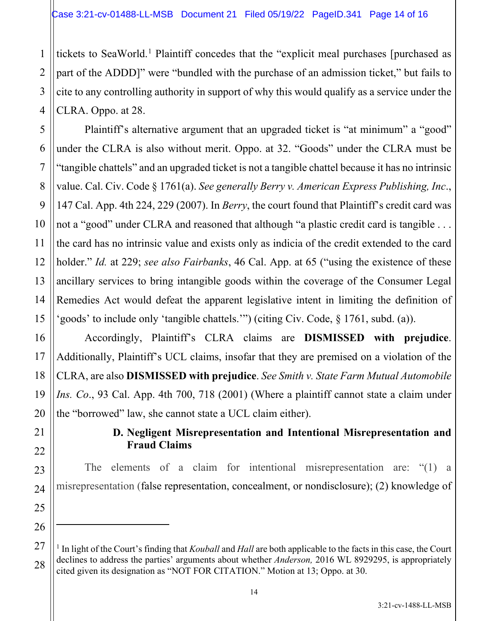tickets to SeaWorld.<sup>1</sup> Plaintiff concedes that the "explicit meal purchases [purchased as part of the ADDD]" were "bundled with the purchase of an admission ticket," but fails to cite to any controlling authority in support of why this would qualify as a service under the CLRA. Oppo. at 28.

Plaintiff's alternative argument that an upgraded ticket is "at minimum" a "good" under the CLRA is also without merit. Oppo. at 32. "Goods" under the CLRA must be "tangible chattels" and an upgraded ticket is not a tangible chattel because it has no intrinsic value. Cal. Civ. Code § 1761(a). *See generally Berry v. American Express Publishing, Inc*., 147 Cal. App. 4th 224, 229 (2007). In *Berry*, the court found that Plaintiff's credit card was not a "good" under CLRA and reasoned that although "a plastic credit card is tangible . . . the card has no intrinsic value and exists only as indicia of the credit extended to the card holder." *Id.* at 229; *see also Fairbanks*, 46 Cal. App. at 65 ("using the existence of these ancillary services to bring intangible goods within the coverage of the Consumer Legal Remedies Act would defeat the apparent legislative intent in limiting the definition of 'goods' to include only 'tangible chattels.'") (citing Civ. Code, § 1761, subd. (a)).

Accordingly, Plaintiff's CLRA claims are **DISMISSED with prejudice**. Additionally, Plaintiff's UCL claims, insofar that they are premised on a violation of the CLRA, are also **DISMISSED with prejudice**. *See Smith v. State Farm Mutual Automobile Ins. Co*., 93 Cal. App. 4th 700, 718 (2001) (Where a plaintiff cannot state a claim under the "borrowed" law, she cannot state a UCL claim either).

# **D. Negligent Misrepresentation and Intentional Misrepresentation and Fraud Claims**

The elements of a claim for intentional misrepresentation are: "(1) a misrepresentation (false representation, concealment, or nondisclosure); (2) knowledge of

1

2

3

4

5

6

7

8

9

10

11

12

13

14

15

16

17

18

19

20

21

22

23

24

25

26

27

<sup>1</sup> In light of the Court's finding that *Kouball* and *Hall* are both applicable to the facts in this case, the Court declines to address the parties' arguments about whether *Anderson,* 2016 WL 8929295, is appropriately cited given its designation as "NOT FOR CITATION." Motion at 13; Oppo. at 30.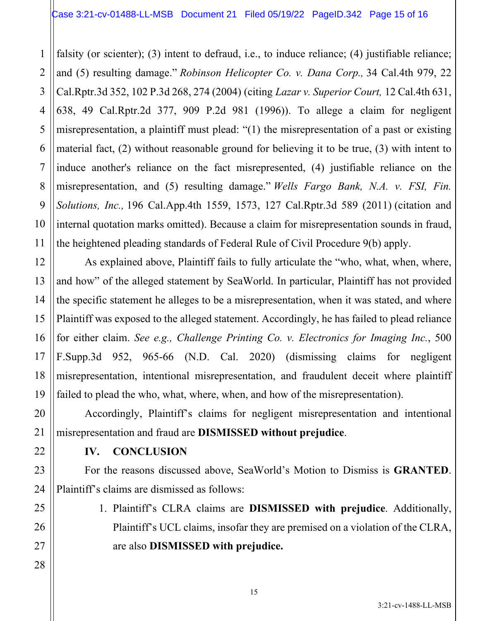falsity (or scienter); (3) intent to defraud, i.e., to induce reliance; (4) justifiable reliance; and (5) resulting damage." *Robinson Helicopter Co. v. Dana Corp.,* 34 Cal.4th 979, 22 Cal.Rptr.3d 352, 102 P.3d 268, 274 (2004) (citing *Lazar v. Superior Court,* 12 Cal.4th 631, 638, 49 Cal.Rptr.2d 377, 909 P.2d 981 (1996)). To allege a claim for negligent misrepresentation, a plaintiff must plead: "(1) the misrepresentation of a past or existing material fact, (2) without reasonable ground for believing it to be true, (3) with intent to induce another's reliance on the fact misrepresented, (4) justifiable reliance on the misrepresentation, and (5) resulting damage." *Wells Fargo Bank, N.A. v. FSI, Fin. Solutions, Inc.,* 196 Cal.App.4th 1559, 1573, 127 Cal.Rptr.3d 589 (2011) (citation and internal quotation marks omitted). Because a claim for misrepresentation sounds in fraud, the heightened pleading standards of Federal Rule of Civil Procedure 9(b) apply.

As explained above, Plaintiff fails to fully articulate the "who, what, when, where, and how" of the alleged statement by SeaWorld. In particular, Plaintiff has not provided the specific statement he alleges to be a misrepresentation, when it was stated, and where Plaintiff was exposed to the alleged statement. Accordingly, he has failed to plead reliance for either claim. *See e.g., Challenge Printing Co. v. Electronics for Imaging Inc.*, 500 F.Supp.3d 952, 965-66 (N.D. Cal. 2020) (dismissing claims for negligent misrepresentation, intentional misrepresentation, and fraudulent deceit where plaintiff failed to plead the who, what, where, when, and how of the misrepresentation).

Accordingly, Plaintiff's claims for negligent misrepresentation and intentional misrepresentation and fraud are **DISMISSED without prejudice**.

**IV. CONCLUSION**

1

2

3

4

5

6

7

8

9

10

11

12

13

14

15

16

17

18

19

20

21

22

23

24

25

26

27

28

For the reasons discussed above, SeaWorld's Motion to Dismiss is **GRANTED**. Plaintiff's claims are dismissed as follows:

> 1. Plaintiff's CLRA claims are **DISMISSED with prejudice**. Additionally, Plaintiff's UCL claims, insofar they are premised on a violation of the CLRA, are also **DISMISSED with prejudice.**